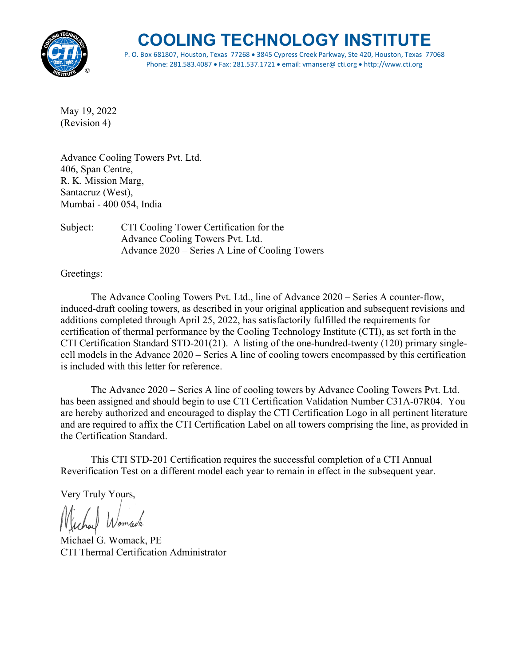

P. O. Box 681807, Houston, Texas 77268 • 3845 Cypress Creek Parkway, Ste 420, Houston, Texas 77068 Phone: 281.583.4087 • Fax: 281.537.1721 • email: vmanser@ cti.org • http://www.cti.org

May 19, 2022 (Revision 4)

Advance Cooling Towers Pvt. Ltd. 406, Span Centre, R. K. Mission Marg, Santacruz (West), Mumbai - 400 054, India

Subject: CTI Cooling Tower Certification for the Advance Cooling Towers Pvt. Ltd. Advance 2020 – Series A Line of Cooling Towers

Greetings:

The Advance Cooling Towers Pvt. Ltd., line of Advance 2020 – Series A counter-flow, induced-draft cooling towers, as described in your original application and subsequent revisions and additions completed through April 25, 2022, has satisfactorily fulfilled the requirements for certification of thermal performance by the Cooling Technology Institute (CTI), as set forth in the CTI Certification Standard STD-201(21). A listing of the one-hundred-twenty (120) primary singlecell models in the Advance 2020 – Series A line of cooling towers encompassed by this certification is included with this letter for reference.

The Advance 2020 – Series A line of cooling towers by Advance Cooling Towers Pvt. Ltd. has been assigned and should begin to use CTI Certification Validation Number C31A-07R04. You are hereby authorized and encouraged to display the CTI Certification Logo in all pertinent literature and are required to affix the CTI Certification Label on all towers comprising the line, as provided in the Certification Standard.

This CTI STD-201 Certification requires the successful completion of a CTI Annual Reverification Test on a different model each year to remain in effect in the subsequent year.

Very Truly Yours,

chal Womach

Michael G. Womack, PE CTI Thermal Certification Administrator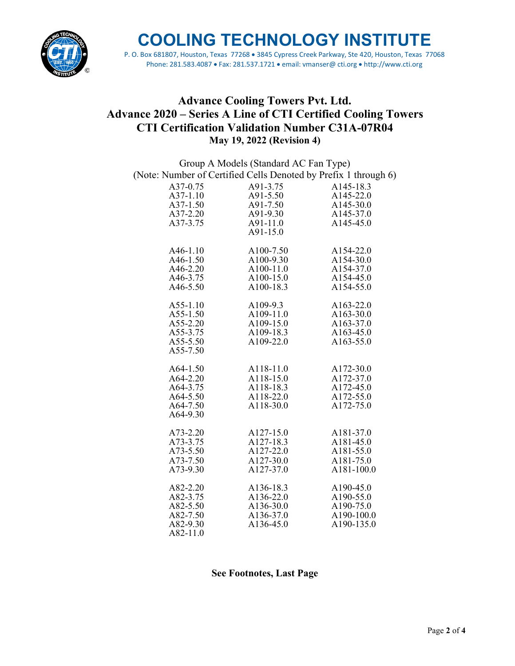

P. O. Box 681807, Houston, Texas 77268 • 3845 Cypress Creek Parkway, Ste 420, Houston, Texas 77068 Phone: 281.583.4087 • Fax: 281.537.1721 • email: vmanser@ cti.org • http://www.cti.org

## **Advance Cooling Towers Pvt. Ltd. Advance 2020 – Series A Line of CTI Certified Cooling Towers CTI Certification Validation Number C31A-07R04 May 19, 2022 (Revision 4)**

|                                                                 | Group A Models (Standard AC Fan Type) |               |
|-----------------------------------------------------------------|---------------------------------------|---------------|
| (Note: Number of Certified Cells Denoted by Prefix 1 through 6) |                                       |               |
| A37-0.75                                                        | A91-3.75                              | A145-18.3     |
| A37-1.10                                                        | A91-5.50                              | A145-22.0     |
| A37-1.50                                                        | A91-7.50                              | A145-30.0     |
| A37-2.20                                                        | A91-9.30                              | A145-37.0     |
| A37-3.75                                                        | A91-11.0                              | A145-45.0     |
|                                                                 | A91-15.0                              |               |
|                                                                 |                                       |               |
| A46-1.10                                                        | A100-7.50                             | A154-22.0     |
| $A46-1.50$                                                      | $A100-9.30$                           | $A154-30.0$   |
| A46-2.20                                                        | A100-11.0                             | A154-37.0     |
| A46-3.75                                                        | A100-15.0                             | A154-45.0     |
| A46-5.50                                                        | A100-18.3                             | A154-55.0     |
|                                                                 |                                       |               |
| $A55-1.10$                                                      | $A109-9.3$                            | $A163 - 22.0$ |
| A55-1.50                                                        | A109-11.0                             | A163-30.0     |
| A55-2.20                                                        | A109-15.0                             | A163-37.0     |
| A55-3.75                                                        | A109-18.3                             | A163-45.0     |
| A55-5.50                                                        | A109-22.0                             | A163-55.0     |
| A55-7.50                                                        |                                       |               |
|                                                                 |                                       |               |
| A64-1.50                                                        | A118-11.0                             | A172-30.0     |
| $A64 - 2.20$                                                    | A118-15.0                             | A172-37.0     |
| A64-3.75                                                        | A118-18.3                             | A172-45.0     |
| A64-5.50                                                        | A118-22.0                             | A172-55.0     |
| A64-7.50                                                        | A118-30.0                             | A172-75.0     |
| A64-9.30                                                        |                                       |               |
|                                                                 |                                       |               |
| A73-2.20                                                        | A127-15.0                             | A181-37.0     |
| A73-3.75                                                        | A127-18.3                             | A181-45.0     |
| A73-5.50                                                        | A127-22.0                             | A181-55.0     |
| A73-7.50                                                        | A127-30.0                             | A181-75.0     |
| A73-9.30                                                        | A127-37.0                             | A181-100.0    |
| A82-2.20                                                        | A136-18.3                             | A190-45.0     |
| A82-3.75                                                        | A136-22.0                             | A190-55.0     |
| A82-5.50                                                        | A136-30.0                             | A190-75.0     |
| A82-7.50                                                        | A136-37.0                             | A190-100.0    |
| A82-9.30                                                        | A136-45.0                             | A190-135.0    |
| A82-11.0                                                        |                                       |               |
|                                                                 |                                       |               |

#### **See Footnotes, Last Page**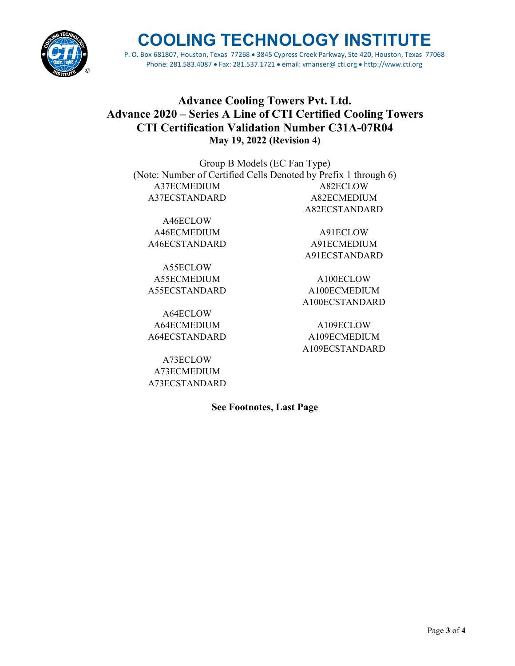

P. O. Box 681807, Houston, Texas 77268 • 3845 Cypress Creek Parkway, Ste 420, Houston, Texas 77068 Phone: 281.583.4087 • Fax: 281.537.1721 • email: vmanser@ cti.org • http://www.cti.org

## **Advance Cooling Towers Pvt. Ltd. Advance 2020 – Series A Line of CTI Certified Cooling Towers CTI Certification Validation Number C31A-07R04 May 19, 2022 (Revision 4)**

Group B Models (EC Fan Type) (Note: Number of Certified Cells Denoted by Prefix 1 through 6) A37ECMEDIUM A82ECLOW A37ECSTANDARD A82ECMEDIUM A82ECSTANDARD

A46ECLOW A46ECMEDIUM A91ECLOW A46ECSTANDARD A91ECMEDIUM

A55ECLOW A55ECMEDIUM A100ECLOW

A64ECLOW A64ECMEDIUM A109ECLOW

A73ECLOW A73ECMEDIUM A73ECSTANDARD

A55ECSTANDARD A100ECMEDIUM A100ECSTANDARD

A91ECSTANDARD

A64ECSTANDARD A109ECMEDIUM A109ECSTANDARD

**See Footnotes, Last Page**